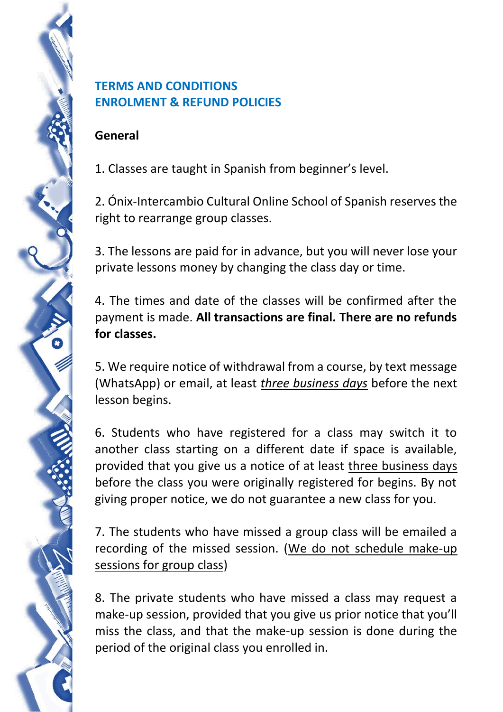## **TERMS AND CONDITIONS ENROLMENT & REFUND POLICIES**

## **General**

1. Classes are taught in Spanish from beginner's level.

2. Ónix-Intercambio Cultural Online School of Spanish reserves the right to rearrange group classes.

3. The lessons are paid for in advance, but you will never lose your private lessons money by changing the class day or time.

4. The times and date of the classes will be confirmed after the payment is made. **All transactions are final. There are no refunds for classes.**

5. We require notice of withdrawal from a course, by text message (WhatsApp) or email, at least *three business days* before the next lesson begins.

6. Students who have registered for a class may switch it to another class starting on a different date if space is available, provided that you give us a notice of at least three business days before the class you were originally registered for begins. By not giving proper notice, we do not guarantee a new class for you.

7. The students who have missed a group class will be emailed a recording of the missed session. (We do not schedule make-up sessions for group class)

8. The private students who have missed a class may request a make-up session, provided that you give us prior notice that you'll miss the class, and that the make-up session is done during the period of the original class you enrolled in.